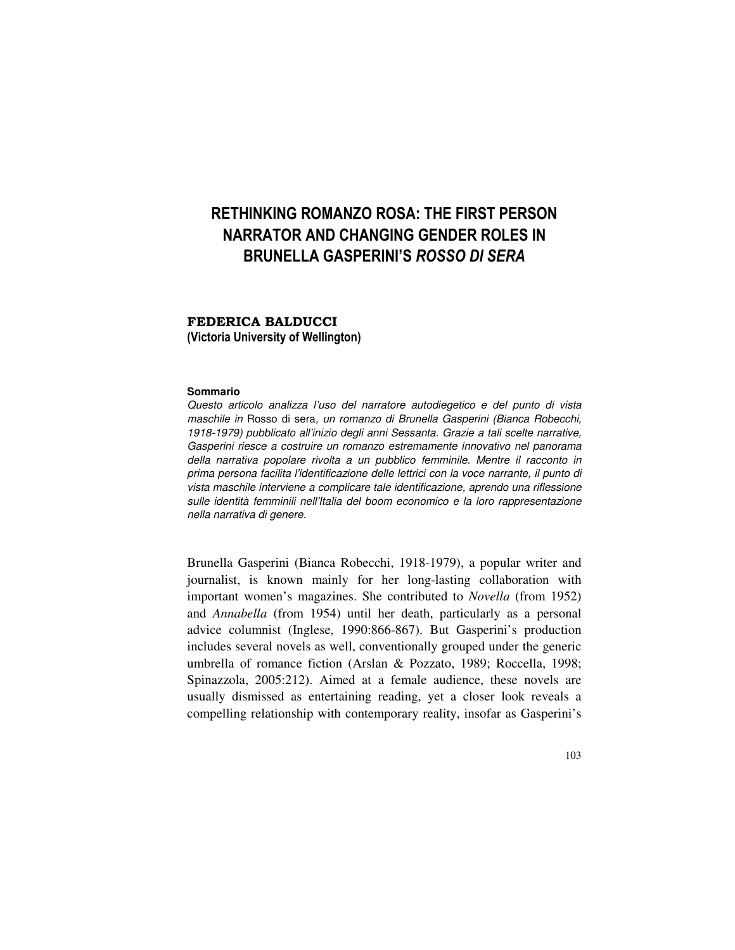# RETHINKING ROMANZO ROSA: THE FIRST PERSON NARRATOR AND CHANGING GENDER ROLES IN BRUNELLA GASPERINI'S ROSSO DI SERA

## FEDERICA BALDUCCI

(Victoria University of Wellington)

#### **Sommario**

Questo articolo analizza l'uso del narratore autodiegetico e del punto di vista maschile in Rosso di sera, un romanzo di Brunella Gasperini (Bianca Robecchi, 1918-1979) pubblicato all'inizio degli anni Sessanta. Grazie a tali scelte narrative, Gasperini riesce a costruire un romanzo estremamente innovativo nel panorama della narrativa popolare rivolta a un pubblico femminile. Mentre il racconto in prima persona facilita l'identificazione delle lettrici con la voce narrante, il punto di vista maschile interviene a complicare tale identificazione, aprendo una riflessione sulle identità femminili nell'Italia del boom economico e la loro rappresentazione nella narrativa di genere.

Brunella Gasperini (Bianca Robecchi, 1918-1979), a popular writer and journalist, is known mainly for her long-lasting collaboration with important women's magazines. She contributed to *Novella* (from 1952) and *Annabella* (from 1954) until her death, particularly as a personal advice columnist (Inglese, 1990:866-867). But Gasperini's production includes several novels as well, conventionally grouped under the generic umbrella of romance fiction (Arslan & Pozzato, 1989; Roccella, 1998; Spinazzola, 2005:212). Aimed at a female audience, these novels are usually dismissed as entertaining reading, yet a closer look reveals a compelling relationship with contemporary reality, insofar as Gasperini's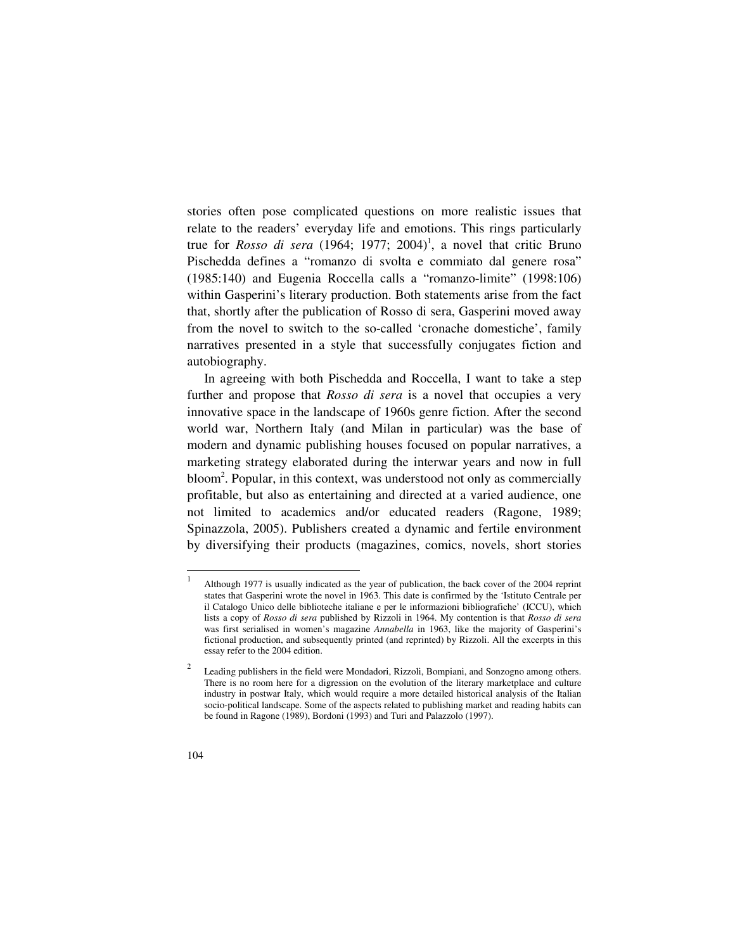stories often pose complicated questions on more realistic issues that relate to the readers' everyday life and emotions. This rings particularly true for *Rosso di sera* (1964; 1977; 2004)<sup>1</sup>, a novel that critic Bruno Pischedda defines a "romanzo di svolta e commiato dal genere rosa" (1985:140) and Eugenia Roccella calls a "romanzo-limite" (1998:106) within Gasperini's literary production. Both statements arise from the fact that, shortly after the publication of Rosso di sera, Gasperini moved away from the novel to switch to the so-called 'cronache domestiche', family narratives presented in a style that successfully conjugates fiction and autobiography.

In agreeing with both Pischedda and Roccella, I want to take a step further and propose that *Rosso di sera* is a novel that occupies a very innovative space in the landscape of 1960s genre fiction. After the second world war, Northern Italy (and Milan in particular) was the base of modern and dynamic publishing houses focused on popular narratives, a marketing strategy elaborated during the interwar years and now in full bloom<sup>2</sup> . Popular, in this context, was understood not only as commercially profitable, but also as entertaining and directed at a varied audience, one not limited to academics and/or educated readers (Ragone, 1989; Spinazzola, 2005). Publishers created a dynamic and fertile environment by diversifying their products (magazines, comics, novels, short stories

<u>.</u>

<sup>1</sup> Although 1977 is usually indicated as the year of publication, the back cover of the 2004 reprint states that Gasperini wrote the novel in 1963. This date is confirmed by the 'Istituto Centrale per il Catalogo Unico delle biblioteche italiane e per le informazioni bibliografiche' (ICCU), which lists a copy of *Rosso di sera* published by Rizzoli in 1964. My contention is that *Rosso di sera* was first serialised in women's magazine *Annabella* in 1963, like the majority of Gasperini's fictional production, and subsequently printed (and reprinted) by Rizzoli. All the excerpts in this essay refer to the 2004 edition.

<sup>2</sup> Leading publishers in the field were Mondadori, Rizzoli, Bompiani, and Sonzogno among others. There is no room here for a digression on the evolution of the literary marketplace and culture industry in postwar Italy, which would require a more detailed historical analysis of the Italian socio-political landscape. Some of the aspects related to publishing market and reading habits can be found in Ragone (1989), Bordoni (1993) and Turi and Palazzolo (1997).

<sup>104</sup>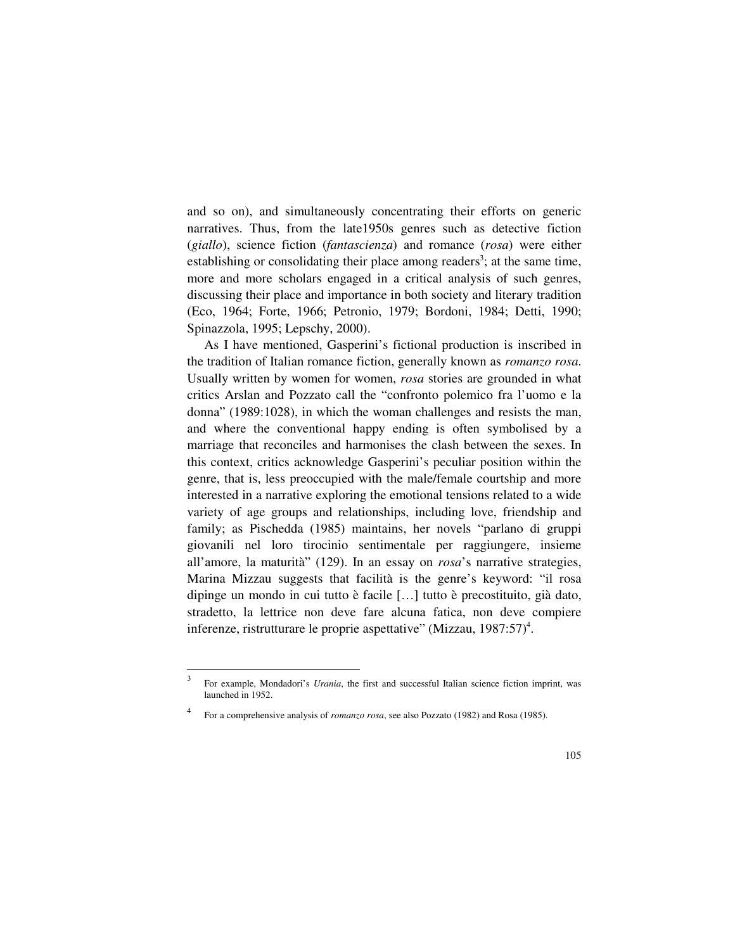and so on), and simultaneously concentrating their efforts on generic narratives. Thus, from the late1950s genres such as detective fiction (*giallo*), science fiction (*fantascienza*) and romance (*rosa*) were either establishing or consolidating their place among readers<sup>3</sup>; at the same time, more and more scholars engaged in a critical analysis of such genres, discussing their place and importance in both society and literary tradition (Eco, 1964; Forte, 1966; Petronio, 1979; Bordoni, 1984; Detti, 1990; Spinazzola, 1995; Lepschy, 2000).

As I have mentioned, Gasperini's fictional production is inscribed in the tradition of Italian romance fiction, generally known as *romanzo rosa*. Usually written by women for women, *rosa* stories are grounded in what critics Arslan and Pozzato call the "confronto polemico fra l'uomo e la donna" (1989:1028), in which the woman challenges and resists the man, and where the conventional happy ending is often symbolised by a marriage that reconciles and harmonises the clash between the sexes. In this context, critics acknowledge Gasperini's peculiar position within the genre, that is, less preoccupied with the male/female courtship and more interested in a narrative exploring the emotional tensions related to a wide variety of age groups and relationships, including love, friendship and family; as Pischedda (1985) maintains, her novels "parlano di gruppi giovanili nel loro tirocinio sentimentale per raggiungere, insieme all'amore, la maturità" (129). In an essay on *rosa*'s narrative strategies, Marina Mizzau suggests that facilità is the genre's keyword: "il rosa dipinge un mondo in cui tutto è facile […] tutto è precostituito, già dato, stradetto, la lettrice non deve fare alcuna fatica, non deve compiere inferenze, ristrutturare le proprie aspettative" (Mizzau, 1987:57)<sup>4</sup>.

 $\frac{1}{3}$  For example, Mondadori's *Urania*, the first and successful Italian science fiction imprint, was launched in 1952.

<sup>4</sup> For a comprehensive analysis of *romanzo rosa*, see also Pozzato (1982) and Rosa (1985).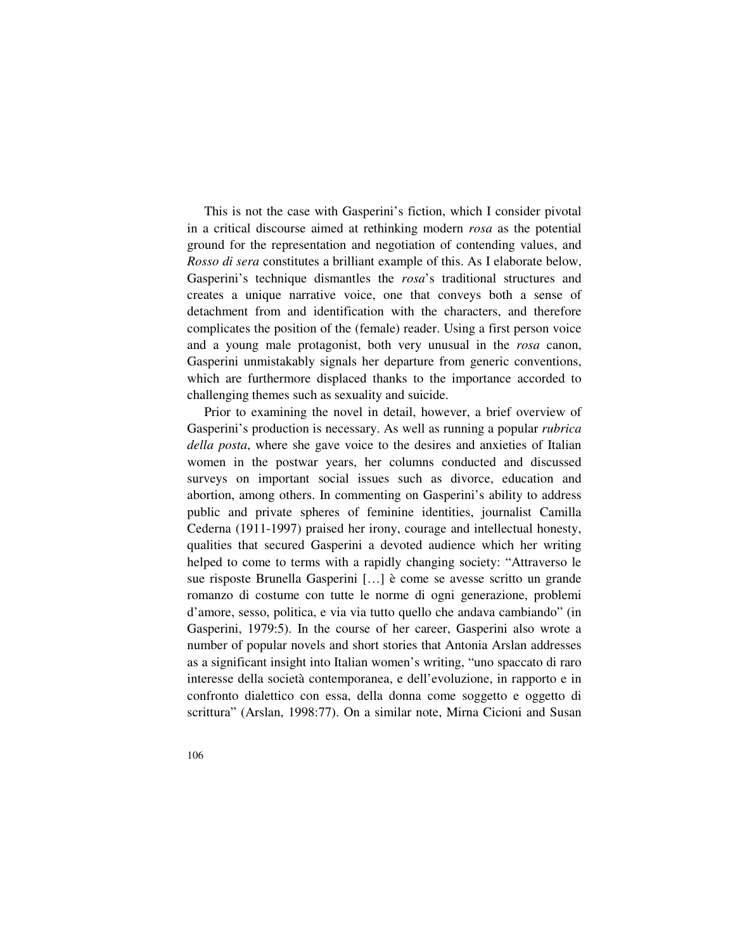This is not the case with Gasperini's fiction, which I consider pivotal in a critical discourse aimed at rethinking modern *rosa* as the potential ground for the representation and negotiation of contending values, and *Rosso di sera* constitutes a brilliant example of this. As I elaborate below, Gasperini's technique dismantles the *rosa*'s traditional structures and creates a unique narrative voice, one that conveys both a sense of detachment from and identification with the characters, and therefore complicates the position of the (female) reader. Using a first person voice and a young male protagonist, both very unusual in the *rosa* canon, Gasperini unmistakably signals her departure from generic conventions, which are furthermore displaced thanks to the importance accorded to challenging themes such as sexuality and suicide.

Prior to examining the novel in detail, however, a brief overview of Gasperini's production is necessary. As well as running a popular *rubrica della posta*, where she gave voice to the desires and anxieties of Italian women in the postwar years, her columns conducted and discussed surveys on important social issues such as divorce, education and abortion, among others. In commenting on Gasperini's ability to address public and private spheres of feminine identities, journalist Camilla Cederna (1911-1997) praised her irony, courage and intellectual honesty, qualities that secured Gasperini a devoted audience which her writing helped to come to terms with a rapidly changing society: "Attraverso le sue risposte Brunella Gasperini […] è come se avesse scritto un grande romanzo di costume con tutte le norme di ogni generazione, problemi d'amore, sesso, politica, e via via tutto quello che andava cambiando" (in Gasperini, 1979:5). In the course of her career, Gasperini also wrote a number of popular novels and short stories that Antonia Arslan addresses as a significant insight into Italian women's writing, "uno spaccato di raro interesse della società contemporanea, e dell'evoluzione, in rapporto e in confronto dialettico con essa, della donna come soggetto e oggetto di scrittura" (Arslan, 1998:77). On a similar note, Mirna Cicioni and Susan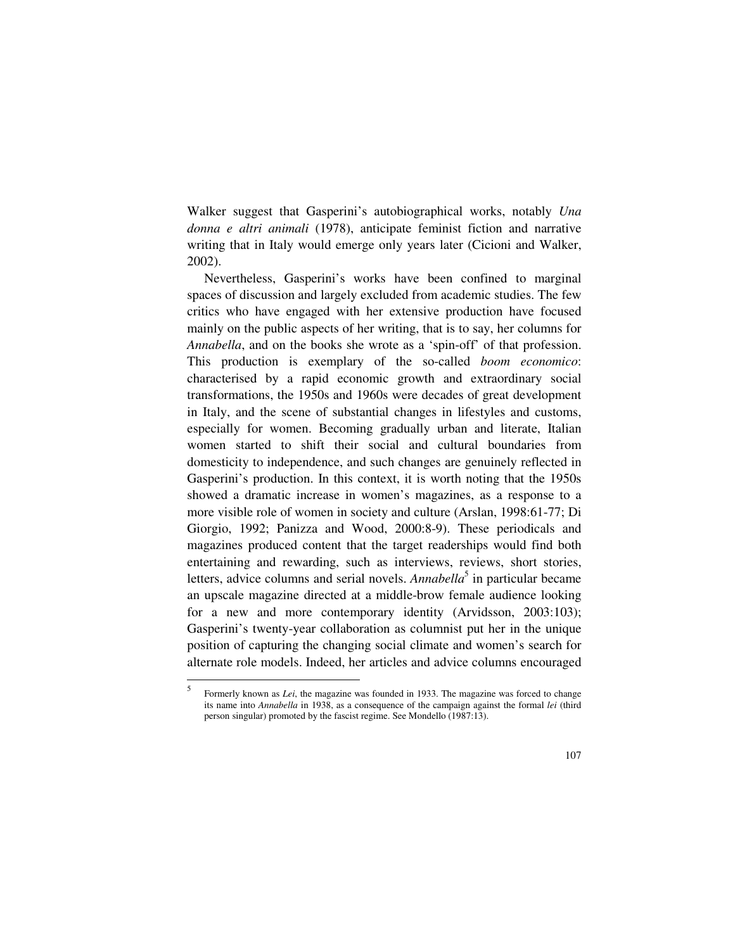Walker suggest that Gasperini's autobiographical works, notably *Una donna e altri animali* (1978), anticipate feminist fiction and narrative writing that in Italy would emerge only years later (Cicioni and Walker, 2002).

Nevertheless, Gasperini's works have been confined to marginal spaces of discussion and largely excluded from academic studies. The few critics who have engaged with her extensive production have focused mainly on the public aspects of her writing, that is to say, her columns for *Annabella*, and on the books she wrote as a 'spin-off' of that profession. This production is exemplary of the so-called *boom economico*: characterised by a rapid economic growth and extraordinary social transformations, the 1950s and 1960s were decades of great development in Italy, and the scene of substantial changes in lifestyles and customs, especially for women. Becoming gradually urban and literate, Italian women started to shift their social and cultural boundaries from domesticity to independence, and such changes are genuinely reflected in Gasperini's production. In this context, it is worth noting that the 1950s showed a dramatic increase in women's magazines, as a response to a more visible role of women in society and culture (Arslan, 1998:61-77; Di Giorgio, 1992; Panizza and Wood, 2000:8-9). These periodicals and magazines produced content that the target readerships would find both entertaining and rewarding, such as interviews, reviews, short stories, letters, advice columns and serial novels. *Annabella*<sup>5</sup> in particular became an upscale magazine directed at a middle-brow female audience looking for a new and more contemporary identity (Arvidsson, 2003:103); Gasperini's twenty-year collaboration as columnist put her in the unique position of capturing the changing social climate and women's search for alternate role models. Indeed, her articles and advice columns encouraged

 $\frac{1}{5}$  Formerly known as *Lei*, the magazine was founded in 1933. The magazine was forced to change its name into *Annabella* in 1938, as a consequence of the campaign against the formal *lei* (third person singular) promoted by the fascist regime. See Mondello (1987:13).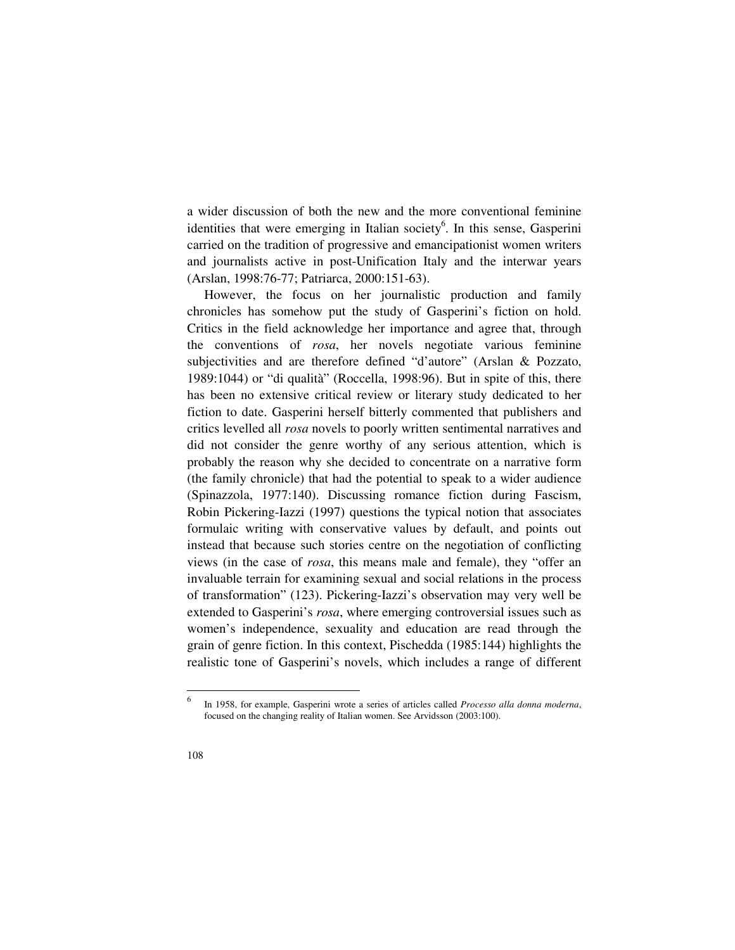a wider discussion of both the new and the more conventional feminine identities that were emerging in Italian society<sup>6</sup>. In this sense, Gasperini carried on the tradition of progressive and emancipationist women writers and journalists active in post-Unification Italy and the interwar years (Arslan, 1998:76-77; Patriarca, 2000:151-63).

However, the focus on her journalistic production and family chronicles has somehow put the study of Gasperini's fiction on hold. Critics in the field acknowledge her importance and agree that, through the conventions of *rosa*, her novels negotiate various feminine subjectivities and are therefore defined "d'autore" (Arslan & Pozzato, 1989:1044) or "di qualità" (Roccella, 1998:96). But in spite of this, there has been no extensive critical review or literary study dedicated to her fiction to date. Gasperini herself bitterly commented that publishers and critics levelled all *rosa* novels to poorly written sentimental narratives and did not consider the genre worthy of any serious attention, which is probably the reason why she decided to concentrate on a narrative form (the family chronicle) that had the potential to speak to a wider audience (Spinazzola, 1977:140). Discussing romance fiction during Fascism, Robin Pickering-Iazzi (1997) questions the typical notion that associates formulaic writing with conservative values by default, and points out instead that because such stories centre on the negotiation of conflicting views (in the case of *rosa*, this means male and female), they "offer an invaluable terrain for examining sexual and social relations in the process of transformation" (123). Pickering-Iazzi's observation may very well be extended to Gasperini's *rosa*, where emerging controversial issues such as women's independence, sexuality and education are read through the grain of genre fiction. In this context, Pischedda (1985:144) highlights the realistic tone of Gasperini's novels, which includes a range of different

 $\frac{1}{6}$  In 1958, for example, Gasperini wrote a series of articles called *Processo alla donna moderna*, focused on the changing reality of Italian women. See Arvidsson (2003:100).

<sup>108</sup>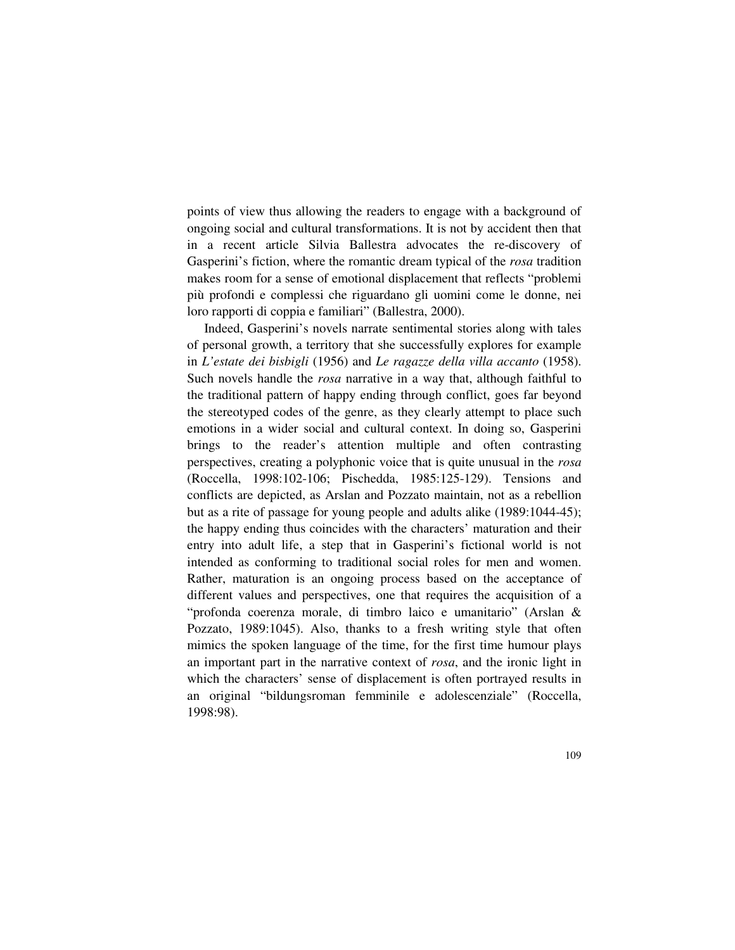points of view thus allowing the readers to engage with a background of ongoing social and cultural transformations. It is not by accident then that in a recent article Silvia Ballestra advocates the re-discovery of Gasperini's fiction, where the romantic dream typical of the *rosa* tradition makes room for a sense of emotional displacement that reflects "problemi più profondi e complessi che riguardano gli uomini come le donne, nei loro rapporti di coppia e familiari" (Ballestra, 2000).

Indeed, Gasperini's novels narrate sentimental stories along with tales of personal growth, a territory that she successfully explores for example in *L'estate dei bisbigli* (1956) and *Le ragazze della villa accanto* (1958). Such novels handle the *rosa* narrative in a way that, although faithful to the traditional pattern of happy ending through conflict, goes far beyond the stereotyped codes of the genre, as they clearly attempt to place such emotions in a wider social and cultural context. In doing so, Gasperini brings to the reader's attention multiple and often contrasting perspectives, creating a polyphonic voice that is quite unusual in the *rosa* (Roccella, 1998:102-106; Pischedda, 1985:125-129). Tensions and conflicts are depicted, as Arslan and Pozzato maintain, not as a rebellion but as a rite of passage for young people and adults alike (1989:1044-45); the happy ending thus coincides with the characters' maturation and their entry into adult life, a step that in Gasperini's fictional world is not intended as conforming to traditional social roles for men and women. Rather, maturation is an ongoing process based on the acceptance of different values and perspectives, one that requires the acquisition of a "profonda coerenza morale, di timbro laico e umanitario" (Arslan & Pozzato, 1989:1045). Also, thanks to a fresh writing style that often mimics the spoken language of the time, for the first time humour plays an important part in the narrative context of *rosa*, and the ironic light in which the characters' sense of displacement is often portrayed results in an original "bildungsroman femminile e adolescenziale" (Roccella, 1998:98).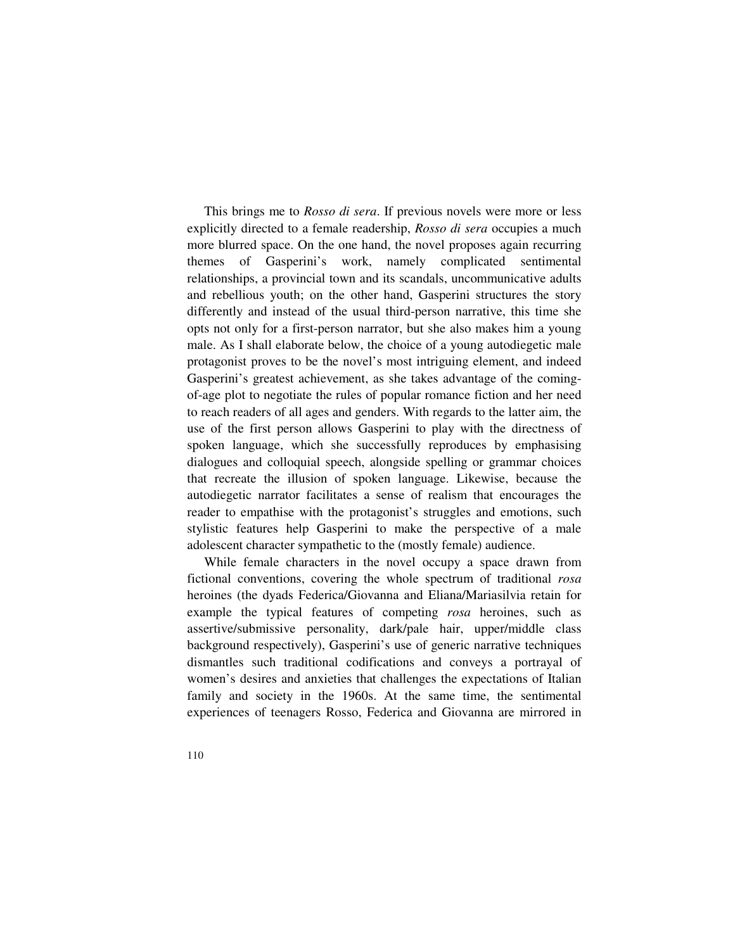This brings me to *Rosso di sera*. If previous novels were more or less explicitly directed to a female readership, *Rosso di sera* occupies a much more blurred space. On the one hand, the novel proposes again recurring themes of Gasperini's work, namely complicated sentimental relationships, a provincial town and its scandals, uncommunicative adults and rebellious youth; on the other hand, Gasperini structures the story differently and instead of the usual third-person narrative, this time she opts not only for a first-person narrator, but she also makes him a young male. As I shall elaborate below, the choice of a young autodiegetic male protagonist proves to be the novel's most intriguing element, and indeed Gasperini's greatest achievement, as she takes advantage of the comingof-age plot to negotiate the rules of popular romance fiction and her need to reach readers of all ages and genders. With regards to the latter aim, the use of the first person allows Gasperini to play with the directness of spoken language, which she successfully reproduces by emphasising dialogues and colloquial speech, alongside spelling or grammar choices that recreate the illusion of spoken language. Likewise, because the autodiegetic narrator facilitates a sense of realism that encourages the reader to empathise with the protagonist's struggles and emotions, such stylistic features help Gasperini to make the perspective of a male adolescent character sympathetic to the (mostly female) audience.

While female characters in the novel occupy a space drawn from fictional conventions, covering the whole spectrum of traditional *rosa* heroines (the dyads Federica/Giovanna and Eliana/Mariasilvia retain for example the typical features of competing *rosa* heroines, such as assertive/submissive personality, dark/pale hair, upper/middle class background respectively), Gasperini's use of generic narrative techniques dismantles such traditional codifications and conveys a portrayal of women's desires and anxieties that challenges the expectations of Italian family and society in the 1960s. At the same time, the sentimental experiences of teenagers Rosso, Federica and Giovanna are mirrored in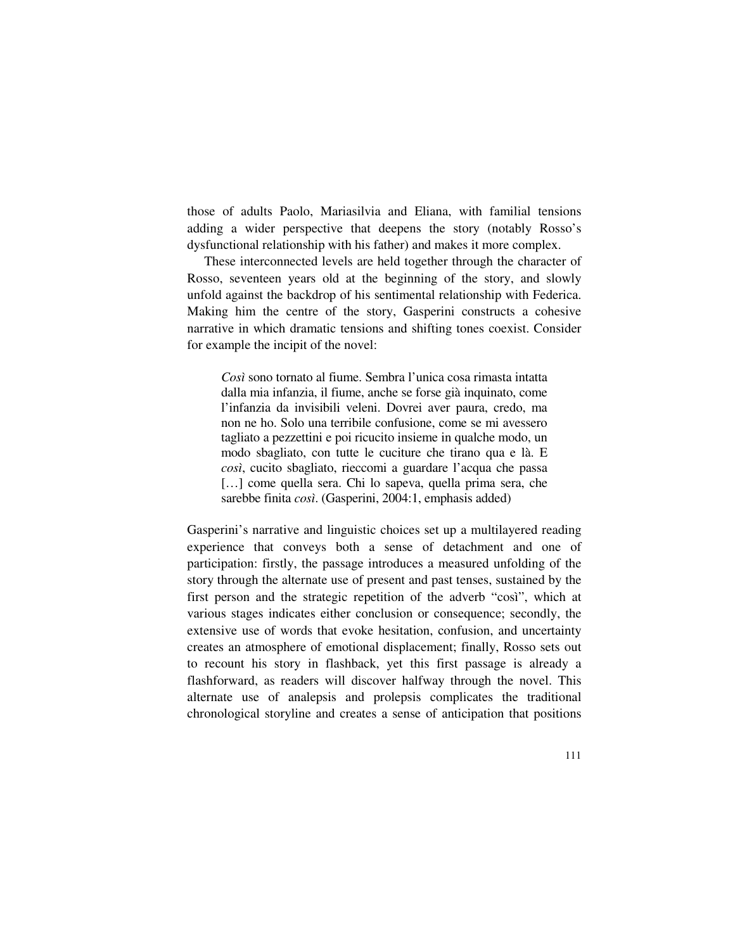those of adults Paolo, Mariasilvia and Eliana, with familial tensions adding a wider perspective that deepens the story (notably Rosso's dysfunctional relationship with his father) and makes it more complex.

These interconnected levels are held together through the character of Rosso, seventeen years old at the beginning of the story, and slowly unfold against the backdrop of his sentimental relationship with Federica. Making him the centre of the story, Gasperini constructs a cohesive narrative in which dramatic tensions and shifting tones coexist. Consider for example the incipit of the novel:

*Così* sono tornato al fiume. Sembra l'unica cosa rimasta intatta dalla mia infanzia, il fiume, anche se forse già inquinato, come l'infanzia da invisibili veleni. Dovrei aver paura, credo, ma non ne ho. Solo una terribile confusione, come se mi avessero tagliato a pezzettini e poi ricucito insieme in qualche modo, un modo sbagliato, con tutte le cuciture che tirano qua e là. E *così*, cucito sbagliato, rieccomi a guardare l'acqua che passa [...] come quella sera. Chi lo sapeva, quella prima sera, che sarebbe finita *così*. (Gasperini, 2004:1, emphasis added)

Gasperini's narrative and linguistic choices set up a multilayered reading experience that conveys both a sense of detachment and one of participation: firstly, the passage introduces a measured unfolding of the story through the alternate use of present and past tenses, sustained by the first person and the strategic repetition of the adverb "così", which at various stages indicates either conclusion or consequence; secondly, the extensive use of words that evoke hesitation, confusion, and uncertainty creates an atmosphere of emotional displacement; finally, Rosso sets out to recount his story in flashback, yet this first passage is already a flashforward, as readers will discover halfway through the novel. This alternate use of analepsis and prolepsis complicates the traditional chronological storyline and creates a sense of anticipation that positions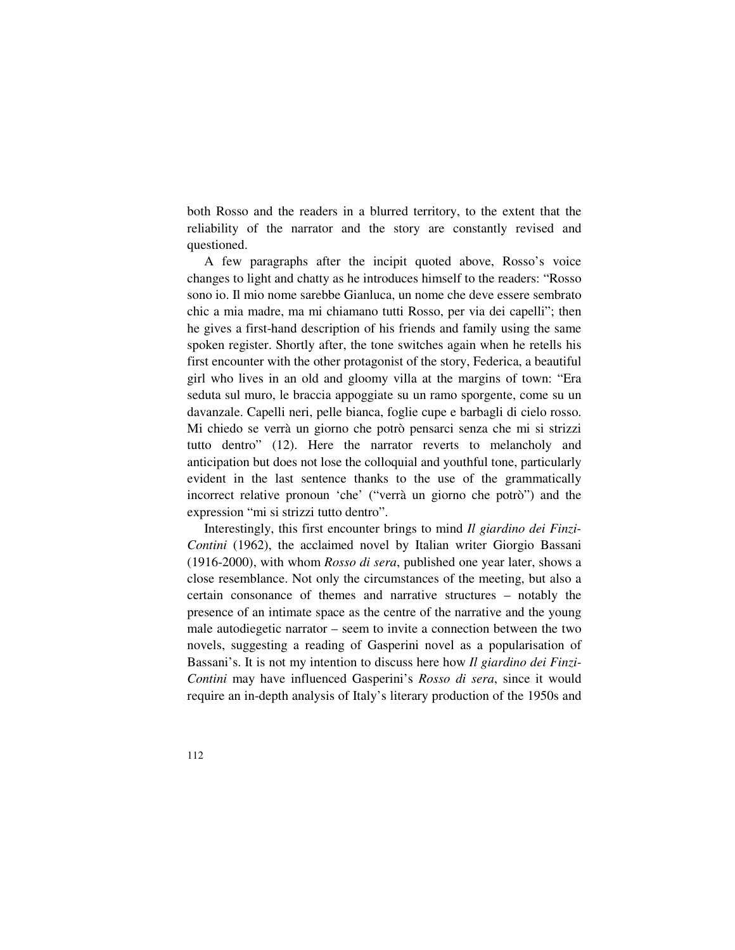both Rosso and the readers in a blurred territory, to the extent that the reliability of the narrator and the story are constantly revised and questioned.

A few paragraphs after the incipit quoted above, Rosso's voice changes to light and chatty as he introduces himself to the readers: "Rosso sono io. Il mio nome sarebbe Gianluca, un nome che deve essere sembrato chic a mia madre, ma mi chiamano tutti Rosso, per via dei capelli"; then he gives a first-hand description of his friends and family using the same spoken register. Shortly after, the tone switches again when he retells his first encounter with the other protagonist of the story, Federica, a beautiful girl who lives in an old and gloomy villa at the margins of town: "Era seduta sul muro, le braccia appoggiate su un ramo sporgente, come su un davanzale. Capelli neri, pelle bianca, foglie cupe e barbagli di cielo rosso. Mi chiedo se verrà un giorno che potrò pensarci senza che mi si strizzi tutto dentro" (12). Here the narrator reverts to melancholy and anticipation but does not lose the colloquial and youthful tone, particularly evident in the last sentence thanks to the use of the grammatically incorrect relative pronoun 'che' ("verrà un giorno che potrò") and the expression "mi si strizzi tutto dentro".

Interestingly, this first encounter brings to mind *Il giardino dei Finzi-Contini* (1962), the acclaimed novel by Italian writer Giorgio Bassani (1916-2000), with whom *Rosso di sera*, published one year later, shows a close resemblance. Not only the circumstances of the meeting, but also a certain consonance of themes and narrative structures – notably the presence of an intimate space as the centre of the narrative and the young male autodiegetic narrator – seem to invite a connection between the two novels, suggesting a reading of Gasperini novel as a popularisation of Bassani's. It is not my intention to discuss here how *Il giardino dei Finzi-Contini* may have influenced Gasperini's *Rosso di sera*, since it would require an in-depth analysis of Italy's literary production of the 1950s and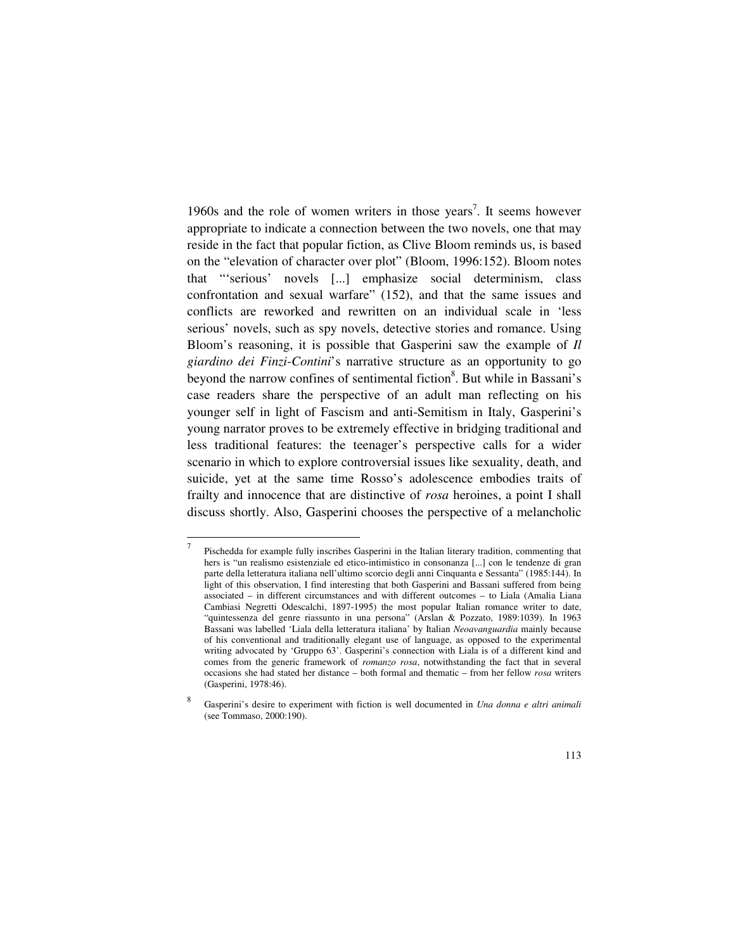1960s and the role of women writers in those years<sup>7</sup>. It seems however appropriate to indicate a connection between the two novels, one that may reside in the fact that popular fiction, as Clive Bloom reminds us, is based on the "elevation of character over plot" (Bloom, 1996:152). Bloom notes that "'serious' novels [...] emphasize social determinism, class confrontation and sexual warfare" (152), and that the same issues and conflicts are reworked and rewritten on an individual scale in 'less serious' novels, such as spy novels, detective stories and romance. Using Bloom's reasoning, it is possible that Gasperini saw the example of *Il giardino dei Finzi-Contini*'s narrative structure as an opportunity to go beyond the narrow confines of sentimental fiction<sup>8</sup>. But while in Bassani's case readers share the perspective of an adult man reflecting on his younger self in light of Fascism and anti-Semitism in Italy, Gasperini's young narrator proves to be extremely effective in bridging traditional and less traditional features: the teenager's perspective calls for a wider scenario in which to explore controversial issues like sexuality, death, and suicide, yet at the same time Rosso's adolescence embodies traits of frailty and innocence that are distinctive of *rosa* heroines, a point I shall discuss shortly. Also, Gasperini chooses the perspective of a melancholic

-

<sup>7</sup> Pischedda for example fully inscribes Gasperini in the Italian literary tradition, commenting that hers is "un realismo esistenziale ed etico-intimistico in consonanza [...] con le tendenze di gran parte della letteratura italiana nell'ultimo scorcio degli anni Cinquanta e Sessanta" (1985:144). In light of this observation, I find interesting that both Gasperini and Bassani suffered from being associated – in different circumstances and with different outcomes – to Liala (Amalia Liana Cambiasi Negretti Odescalchi, 1897-1995) the most popular Italian romance writer to date, "quintessenza del genre riassunto in una persona" (Arslan & Pozzato, 1989:1039). In 1963 Bassani was labelled 'Liala della letteratura italiana' by Italian *Neoavanguardia* mainly because of his conventional and traditionally elegant use of language, as opposed to the experimental writing advocated by 'Gruppo 63'. Gasperini's connection with Liala is of a different kind and comes from the generic framework of *romanzo rosa*, notwithstanding the fact that in several occasions she had stated her distance – both formal and thematic – from her fellow *rosa* writers (Gasperini, 1978:46).

<sup>8</sup> Gasperini's desire to experiment with fiction is well documented in *Una donna e altri animali* (see Tommaso, 2000:190).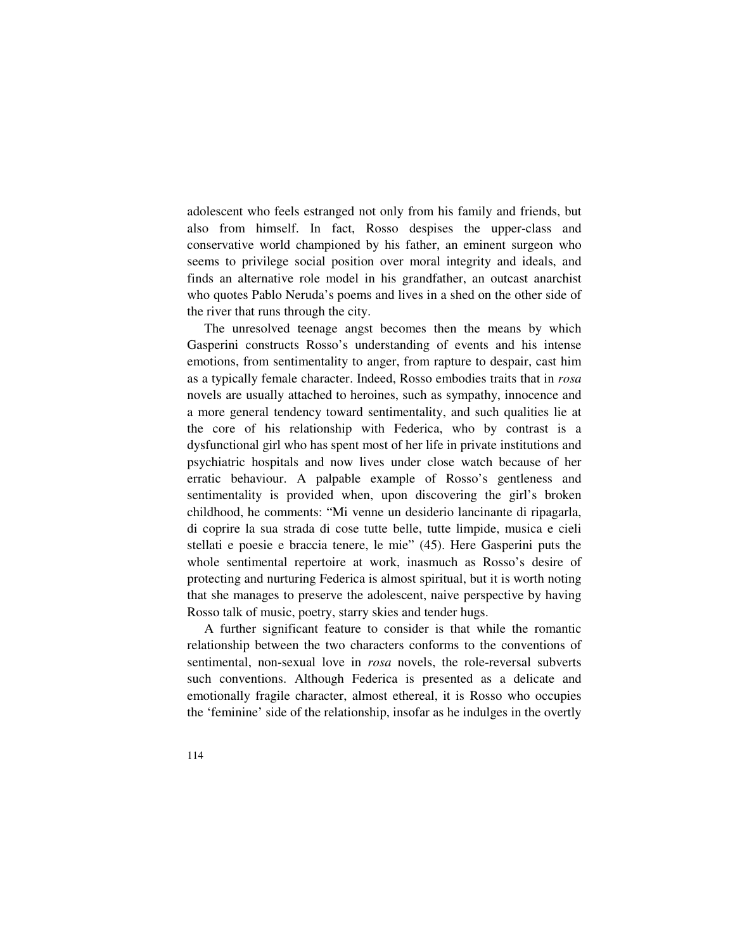adolescent who feels estranged not only from his family and friends, but also from himself. In fact, Rosso despises the upper-class and conservative world championed by his father, an eminent surgeon who seems to privilege social position over moral integrity and ideals, and finds an alternative role model in his grandfather, an outcast anarchist who quotes Pablo Neruda's poems and lives in a shed on the other side of the river that runs through the city.

The unresolved teenage angst becomes then the means by which Gasperini constructs Rosso's understanding of events and his intense emotions, from sentimentality to anger, from rapture to despair, cast him as a typically female character. Indeed, Rosso embodies traits that in *rosa* novels are usually attached to heroines, such as sympathy, innocence and a more general tendency toward sentimentality, and such qualities lie at the core of his relationship with Federica, who by contrast is a dysfunctional girl who has spent most of her life in private institutions and psychiatric hospitals and now lives under close watch because of her erratic behaviour. A palpable example of Rosso's gentleness and sentimentality is provided when, upon discovering the girl's broken childhood, he comments: "Mi venne un desiderio lancinante di ripagarla, di coprire la sua strada di cose tutte belle, tutte limpide, musica e cieli stellati e poesie e braccia tenere, le mie" (45). Here Gasperini puts the whole sentimental repertoire at work, inasmuch as Rosso's desire of protecting and nurturing Federica is almost spiritual, but it is worth noting that she manages to preserve the adolescent, naive perspective by having Rosso talk of music, poetry, starry skies and tender hugs.

A further significant feature to consider is that while the romantic relationship between the two characters conforms to the conventions of sentimental, non-sexual love in *rosa* novels, the role-reversal subverts such conventions. Although Federica is presented as a delicate and emotionally fragile character, almost ethereal, it is Rosso who occupies the 'feminine' side of the relationship, insofar as he indulges in the overtly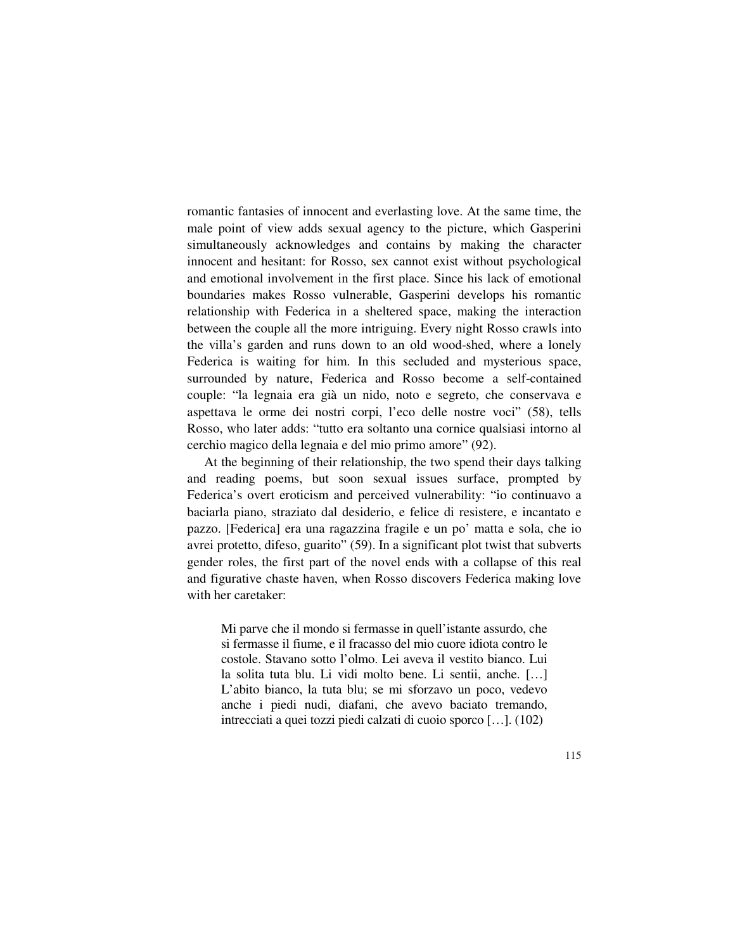romantic fantasies of innocent and everlasting love. At the same time, the male point of view adds sexual agency to the picture, which Gasperini simultaneously acknowledges and contains by making the character innocent and hesitant: for Rosso, sex cannot exist without psychological and emotional involvement in the first place. Since his lack of emotional boundaries makes Rosso vulnerable, Gasperini develops his romantic relationship with Federica in a sheltered space, making the interaction between the couple all the more intriguing. Every night Rosso crawls into the villa's garden and runs down to an old wood-shed, where a lonely Federica is waiting for him. In this secluded and mysterious space, surrounded by nature, Federica and Rosso become a self-contained couple: "la legnaia era già un nido, noto e segreto, che conservava e aspettava le orme dei nostri corpi, l'eco delle nostre voci" (58), tells Rosso, who later adds: "tutto era soltanto una cornice qualsiasi intorno al cerchio magico della legnaia e del mio primo amore" (92).

At the beginning of their relationship, the two spend their days talking and reading poems, but soon sexual issues surface, prompted by Federica's overt eroticism and perceived vulnerability: "io continuavo a baciarla piano, straziato dal desiderio, e felice di resistere, e incantato e pazzo. [Federica] era una ragazzina fragile e un po' matta e sola, che io avrei protetto, difeso, guarito" (59). In a significant plot twist that subverts gender roles, the first part of the novel ends with a collapse of this real and figurative chaste haven, when Rosso discovers Federica making love with her caretaker:

Mi parve che il mondo si fermasse in quell'istante assurdo, che si fermasse il fiume, e il fracasso del mio cuore idiota contro le costole. Stavano sotto l'olmo. Lei aveva il vestito bianco. Lui la solita tuta blu. Li vidi molto bene. Li sentii, anche. […] L'abito bianco, la tuta blu; se mi sforzavo un poco, vedevo anche i piedi nudi, diafani, che avevo baciato tremando, intrecciati a quei tozzi piedi calzati di cuoio sporco […]. (102)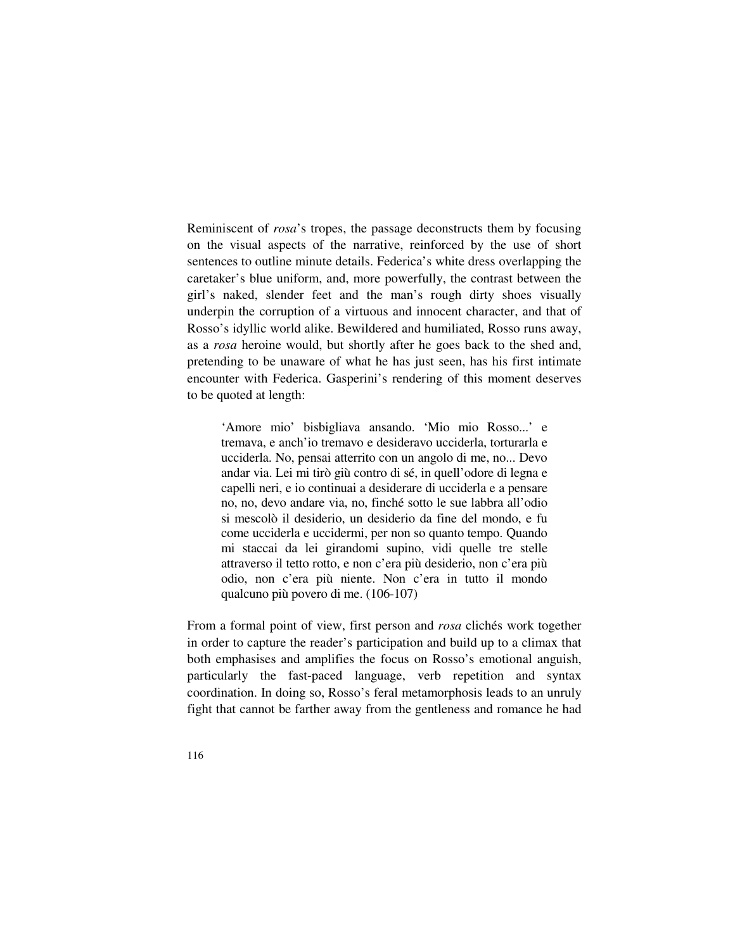Reminiscent of *rosa*'s tropes, the passage deconstructs them by focusing on the visual aspects of the narrative, reinforced by the use of short sentences to outline minute details. Federica's white dress overlapping the caretaker's blue uniform, and, more powerfully, the contrast between the girl's naked, slender feet and the man's rough dirty shoes visually underpin the corruption of a virtuous and innocent character, and that of Rosso's idyllic world alike. Bewildered and humiliated, Rosso runs away, as a *rosa* heroine would, but shortly after he goes back to the shed and, pretending to be unaware of what he has just seen, has his first intimate encounter with Federica. Gasperini's rendering of this moment deserves to be quoted at length:

'Amore mio' bisbigliava ansando. 'Mio mio Rosso...' e tremava, e anch'io tremavo e desideravo ucciderla, torturarla e ucciderla. No, pensai atterrito con un angolo di me, no... Devo andar via. Lei mi tirò giù contro di sé, in quell'odore di legna e capelli neri, e io continuai a desiderare di ucciderla e a pensare no, no, devo andare via, no, finché sotto le sue labbra all'odio si mescolò il desiderio, un desiderio da fine del mondo, e fu come ucciderla e uccidermi, per non so quanto tempo. Quando mi staccai da lei girandomi supino, vidi quelle tre stelle attraverso il tetto rotto, e non c'era più desiderio, non c'era più odio, non c'era più niente. Non c'era in tutto il mondo qualcuno più povero di me. (106-107)

From a formal point of view, first person and *rosa* clichés work together in order to capture the reader's participation and build up to a climax that both emphasises and amplifies the focus on Rosso's emotional anguish, particularly the fast-paced language, verb repetition and syntax coordination. In doing so, Rosso's feral metamorphosis leads to an unruly fight that cannot be farther away from the gentleness and romance he had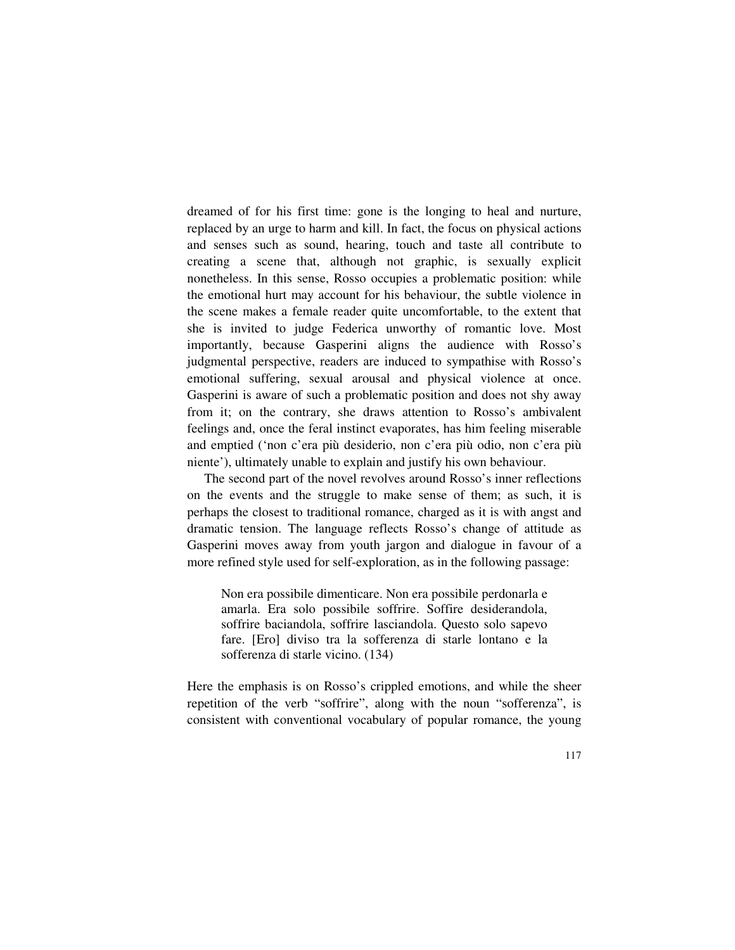dreamed of for his first time: gone is the longing to heal and nurture, replaced by an urge to harm and kill. In fact, the focus on physical actions and senses such as sound, hearing, touch and taste all contribute to creating a scene that, although not graphic, is sexually explicit nonetheless. In this sense, Rosso occupies a problematic position: while the emotional hurt may account for his behaviour, the subtle violence in the scene makes a female reader quite uncomfortable, to the extent that she is invited to judge Federica unworthy of romantic love. Most importantly, because Gasperini aligns the audience with Rosso's judgmental perspective, readers are induced to sympathise with Rosso's emotional suffering, sexual arousal and physical violence at once. Gasperini is aware of such a problematic position and does not shy away from it; on the contrary, she draws attention to Rosso's ambivalent feelings and, once the feral instinct evaporates, has him feeling miserable and emptied ('non c'era più desiderio, non c'era più odio, non c'era più niente'), ultimately unable to explain and justify his own behaviour.

The second part of the novel revolves around Rosso's inner reflections on the events and the struggle to make sense of them; as such, it is perhaps the closest to traditional romance, charged as it is with angst and dramatic tension. The language reflects Rosso's change of attitude as Gasperini moves away from youth jargon and dialogue in favour of a more refined style used for self-exploration, as in the following passage:

Non era possibile dimenticare. Non era possibile perdonarla e amarla. Era solo possibile soffrire. Soffire desiderandola, soffrire baciandola, soffrire lasciandola. Questo solo sapevo fare. [Ero] diviso tra la sofferenza di starle lontano e la sofferenza di starle vicino. (134)

Here the emphasis is on Rosso's crippled emotions, and while the sheer repetition of the verb "soffrire", along with the noun "sofferenza", is consistent with conventional vocabulary of popular romance, the young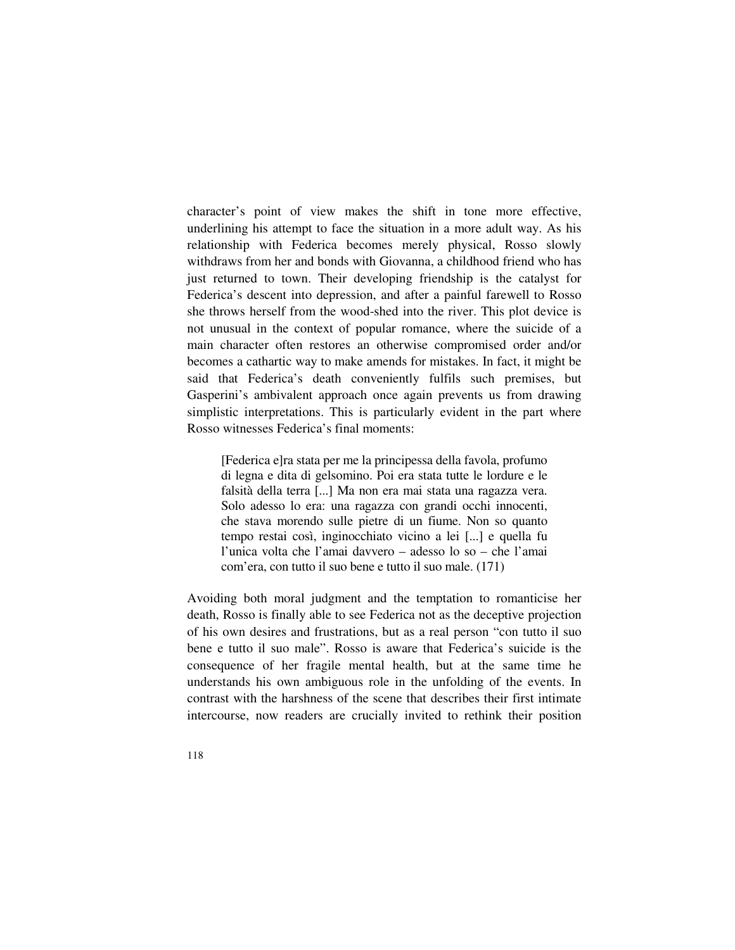character's point of view makes the shift in tone more effective, underlining his attempt to face the situation in a more adult way. As his relationship with Federica becomes merely physical, Rosso slowly withdraws from her and bonds with Giovanna, a childhood friend who has just returned to town. Their developing friendship is the catalyst for Federica's descent into depression, and after a painful farewell to Rosso she throws herself from the wood-shed into the river. This plot device is not unusual in the context of popular romance, where the suicide of a main character often restores an otherwise compromised order and/or becomes a cathartic way to make amends for mistakes. In fact, it might be said that Federica's death conveniently fulfils such premises, but Gasperini's ambivalent approach once again prevents us from drawing simplistic interpretations. This is particularly evident in the part where Rosso witnesses Federica's final moments:

[Federica e]ra stata per me la principessa della favola, profumo di legna e dita di gelsomino. Poi era stata tutte le lordure e le falsità della terra [...] Ma non era mai stata una ragazza vera. Solo adesso lo era: una ragazza con grandi occhi innocenti, che stava morendo sulle pietre di un fiume. Non so quanto tempo restai così, inginocchiato vicino a lei [...] e quella fu l'unica volta che l'amai davvero – adesso lo so – che l'amai com'era, con tutto il suo bene e tutto il suo male. (171)

Avoiding both moral judgment and the temptation to romanticise her death, Rosso is finally able to see Federica not as the deceptive projection of his own desires and frustrations, but as a real person "con tutto il suo bene e tutto il suo male". Rosso is aware that Federica's suicide is the consequence of her fragile mental health, but at the same time he understands his own ambiguous role in the unfolding of the events. In contrast with the harshness of the scene that describes their first intimate intercourse, now readers are crucially invited to rethink their position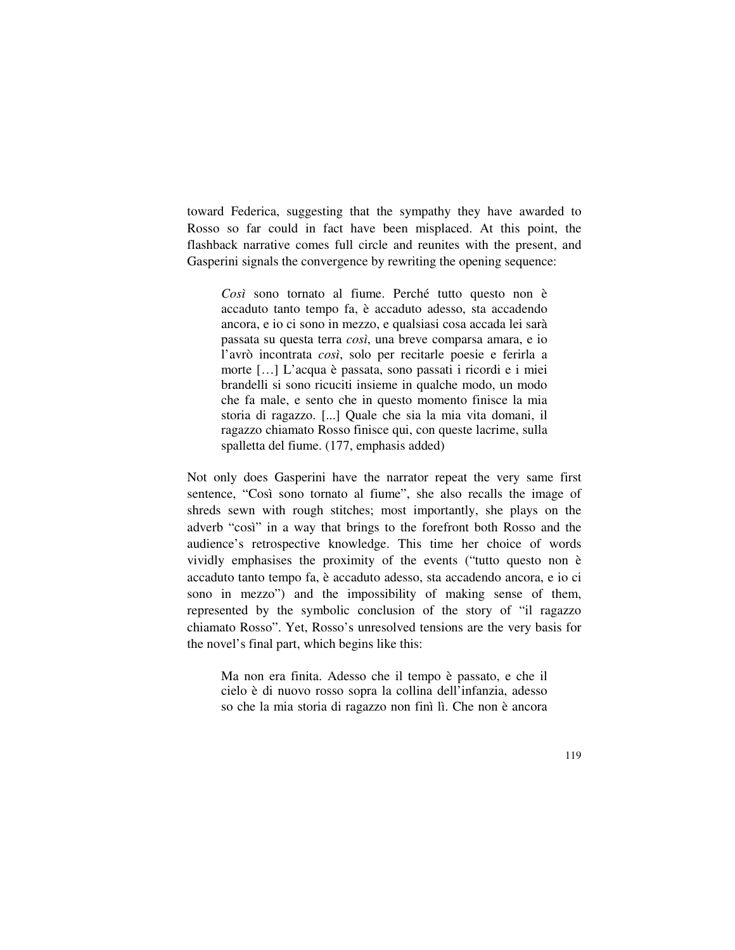toward Federica, suggesting that the sympathy they have awarded to Rosso so far could in fact have been misplaced. At this point, the flashback narrative comes full circle and reunites with the present, and Gasperini signals the convergence by rewriting the opening sequence:

*Così* sono tornato al fiume. Perché tutto questo non è accaduto tanto tempo fa, è accaduto adesso, sta accadendo ancora, e io ci sono in mezzo, e qualsiasi cosa accada lei sarà passata su questa terra *così*, una breve comparsa amara, e io l'avrò incontrata *così*, solo per recitarle poesie e ferirla a morte […] L'acqua è passata, sono passati i ricordi e i miei brandelli si sono ricuciti insieme in qualche modo, un modo che fa male, e sento che in questo momento finisce la mia storia di ragazzo. [...] Quale che sia la mia vita domani, il ragazzo chiamato Rosso finisce qui, con queste lacrime, sulla spalletta del fiume. (177, emphasis added)

Not only does Gasperini have the narrator repeat the very same first sentence, "Così sono tornato al fiume", she also recalls the image of shreds sewn with rough stitches; most importantly, she plays on the adverb "così" in a way that brings to the forefront both Rosso and the audience's retrospective knowledge. This time her choice of words vividly emphasises the proximity of the events ("tutto questo non è accaduto tanto tempo fa, è accaduto adesso, sta accadendo ancora, e io ci sono in mezzo") and the impossibility of making sense of them, represented by the symbolic conclusion of the story of "il ragazzo chiamato Rosso". Yet, Rosso's unresolved tensions are the very basis for the novel's final part, which begins like this:

Ma non era finita. Adesso che il tempo è passato, e che il cielo è di nuovo rosso sopra la collina dell'infanzia, adesso so che la mia storia di ragazzo non finì lì. Che non è ancora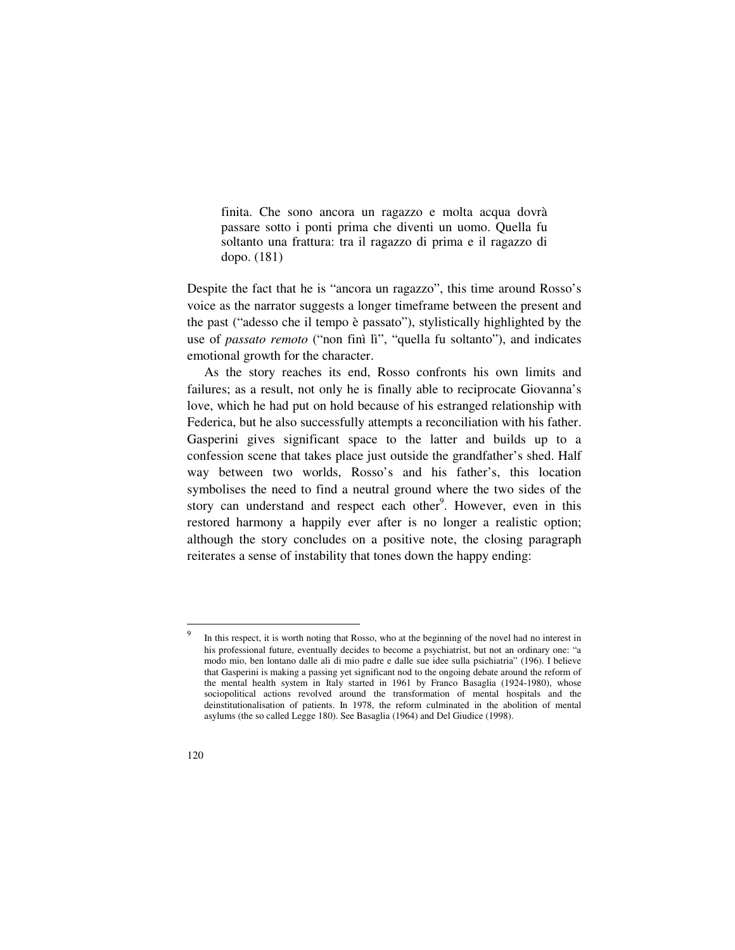finita. Che sono ancora un ragazzo e molta acqua dovrà passare sotto i ponti prima che diventi un uomo. Quella fu soltanto una frattura: tra il ragazzo di prima e il ragazzo di dopo. (181)

Despite the fact that he is "ancora un ragazzo", this time around Rosso's voice as the narrator suggests a longer timeframe between the present and the past ("adesso che il tempo è passato"), stylistically highlighted by the use of *passato remoto* ("non finì lì", "quella fu soltanto"), and indicates emotional growth for the character.

As the story reaches its end, Rosso confronts his own limits and failures; as a result, not only he is finally able to reciprocate Giovanna's love, which he had put on hold because of his estranged relationship with Federica, but he also successfully attempts a reconciliation with his father. Gasperini gives significant space to the latter and builds up to a confession scene that takes place just outside the grandfather's shed. Half way between two worlds, Rosso's and his father's, this location symbolises the need to find a neutral ground where the two sides of the story can understand and respect each other<sup>9</sup>. However, even in this restored harmony a happily ever after is no longer a realistic option; although the story concludes on a positive note, the closing paragraph reiterates a sense of instability that tones down the happy ending:

<sup>9</sup> In this respect, it is worth noting that Rosso, who at the beginning of the novel had no interest in his professional future, eventually decides to become a psychiatrist, but not an ordinary one: "a modo mio, ben lontano dalle ali di mio padre e dalle sue idee sulla psichiatria" (196). I believe that Gasperini is making a passing yet significant nod to the ongoing debate around the reform of the mental health system in Italy started in 1961 by Franco Basaglia (1924-1980), whose sociopolitical actions revolved around the transformation of mental hospitals and the deinstitutionalisation of patients. In 1978, the reform culminated in the abolition of mental asylums (the so called Legge 180). See Basaglia (1964) and Del Giudice (1998).



<u>.</u>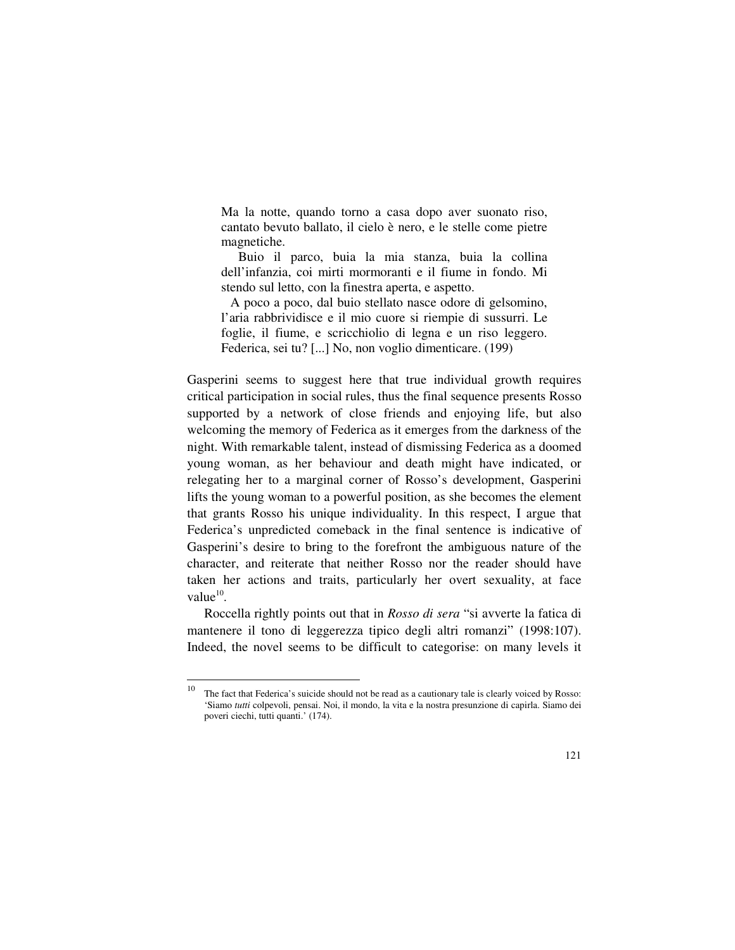Ma la notte, quando torno a casa dopo aver suonato riso, cantato bevuto ballato, il cielo è nero, e le stelle come pietre magnetiche.

 Buio il parco, buia la mia stanza, buia la collina dell'infanzia, coi mirti mormoranti e il fiume in fondo. Mi stendo sul letto, con la finestra aperta, e aspetto.

A poco a poco, dal buio stellato nasce odore di gelsomino, l'aria rabbrividisce e il mio cuore si riempie di sussurri. Le foglie, il fiume, e scricchiolio di legna e un riso leggero. Federica, sei tu? [...] No, non voglio dimenticare. (199)

Gasperini seems to suggest here that true individual growth requires critical participation in social rules, thus the final sequence presents Rosso supported by a network of close friends and enjoying life, but also welcoming the memory of Federica as it emerges from the darkness of the night. With remarkable talent, instead of dismissing Federica as a doomed young woman, as her behaviour and death might have indicated, or relegating her to a marginal corner of Rosso's development, Gasperini lifts the young woman to a powerful position, as she becomes the element that grants Rosso his unique individuality. In this respect, I argue that Federica's unpredicted comeback in the final sentence is indicative of Gasperini's desire to bring to the forefront the ambiguous nature of the character, and reiterate that neither Rosso nor the reader should have taken her actions and traits, particularly her overt sexuality, at face value $^{10}$ .

Roccella rightly points out that in *Rosso di sera* "si avverte la fatica di mantenere il tono di leggerezza tipico degli altri romanzi" (1998:107). Indeed, the novel seems to be difficult to categorise: on many levels it

 $10$ The fact that Federica's suicide should not be read as a cautionary tale is clearly voiced by Rosso: 'Siamo *tutti* colpevoli, pensai. Noi, il mondo, la vita e la nostra presunzione di capirla. Siamo dei poveri ciechi, tutti quanti.' (174).

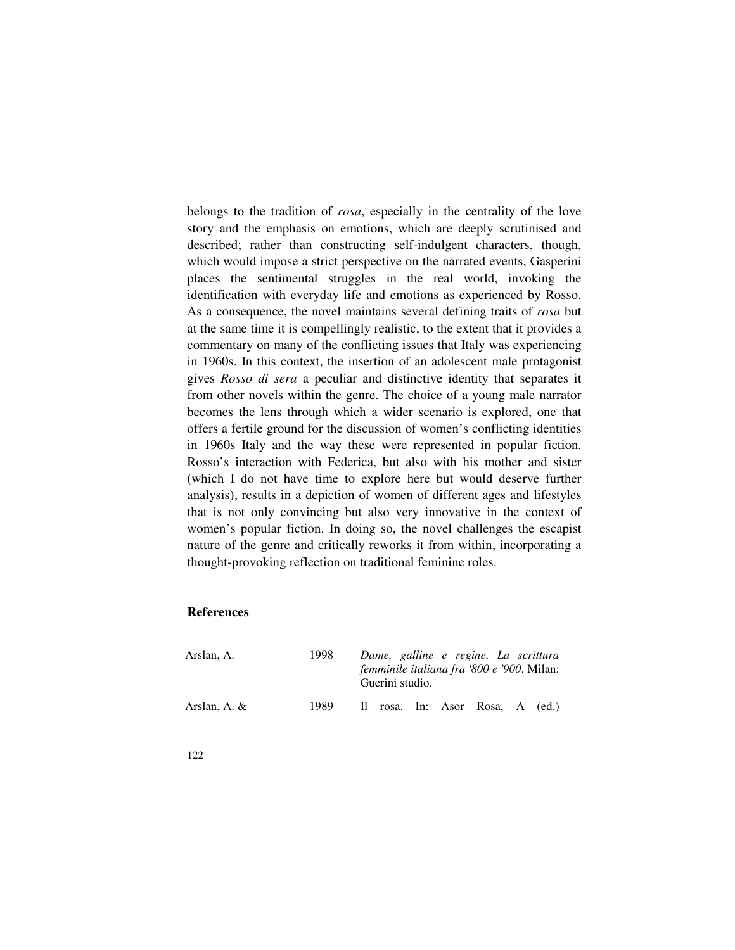belongs to the tradition of *rosa*, especially in the centrality of the love story and the emphasis on emotions, which are deeply scrutinised and described; rather than constructing self-indulgent characters, though, which would impose a strict perspective on the narrated events, Gasperini places the sentimental struggles in the real world, invoking the identification with everyday life and emotions as experienced by Rosso. As a consequence, the novel maintains several defining traits of *rosa* but at the same time it is compellingly realistic, to the extent that it provides a commentary on many of the conflicting issues that Italy was experiencing in 1960s. In this context, the insertion of an adolescent male protagonist gives *Rosso di sera* a peculiar and distinctive identity that separates it from other novels within the genre. The choice of a young male narrator becomes the lens through which a wider scenario is explored, one that offers a fertile ground for the discussion of women's conflicting identities in 1960s Italy and the way these were represented in popular fiction. Rosso's interaction with Federica, but also with his mother and sister (which I do not have time to explore here but would deserve further analysis), results in a depiction of women of different ages and lifestyles that is not only convincing but also very innovative in the context of women's popular fiction. In doing so, the novel challenges the escapist nature of the genre and critically reworks it from within, incorporating a thought-provoking reflection on traditional feminine roles.

## **References**

| Arslan, A.   | 1998  | Guerini studio. |  |  |  | Dame, galline e regine. La scrittura<br><i>femminile italiana fra '800 e '900.</i> Milan: |
|--------------|-------|-----------------|--|--|--|-------------------------------------------------------------------------------------------|
| Arslan, A. & | 1989. |                 |  |  |  | Il rosa. In: Asor Rosa, A (ed.)                                                           |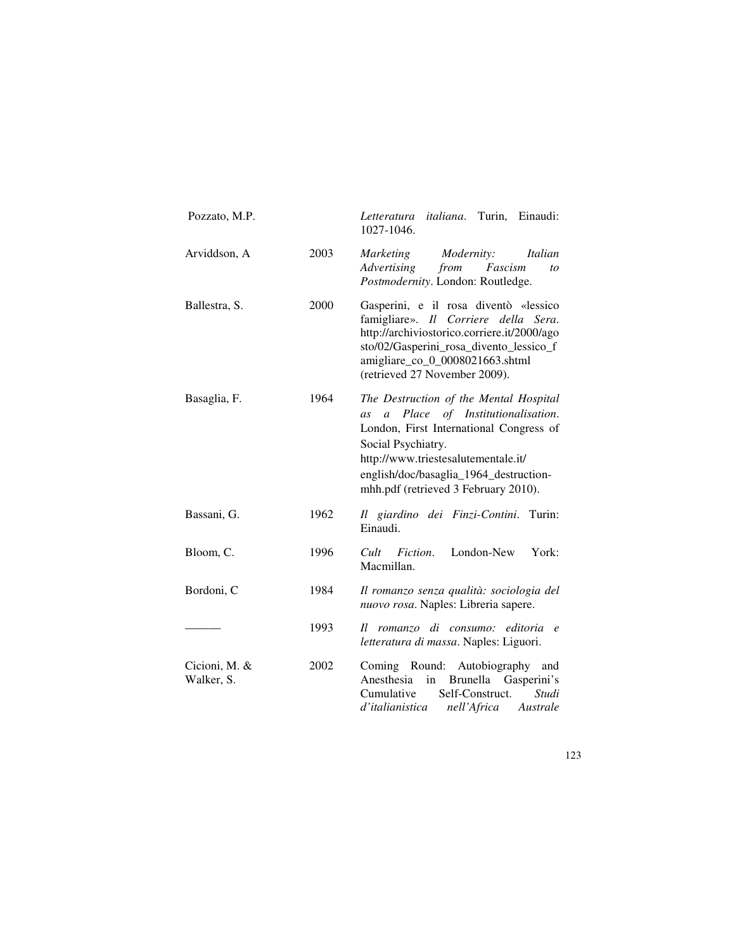| Pozzato, M.P.               |      | italiana.<br>Letteratura<br>Turin,<br>Einaudi:<br>1027-1046.                                                                                                                                                                                                                                 |
|-----------------------------|------|----------------------------------------------------------------------------------------------------------------------------------------------------------------------------------------------------------------------------------------------------------------------------------------------|
| Arviddson, A                | 2003 | Modernity:<br>Italian<br>Marketing<br>Advertising<br>from<br>Fascism<br>to<br>Postmodernity. London: Routledge.                                                                                                                                                                              |
| Ballestra, S.               | 2000 | Gasperini, e il rosa diventò «lessico<br>famigliare». Il Corriere della<br>Sera.<br>http://archiviostorico.corriere.it/2000/ago<br>sto/02/Gasperini_rosa_divento_lessico_f<br>amigliare_co_0_0008021663.shtml<br>(retrieved 27 November 2009).                                               |
| Basaglia, F.                | 1964 | The Destruction of the Mental Hospital<br>Place of Institutionalisation.<br>$\mathfrak{a}$<br>as —<br>London, First International Congress of<br>Social Psychiatry.<br>http://www.triestesalutementale.it/<br>english/doc/basaglia_1964_destruction-<br>mhh.pdf (retrieved 3 February 2010). |
| Bassani, G.                 | 1962 | Il giardino dei Finzi-Contini. Turin:<br>Einaudi.                                                                                                                                                                                                                                            |
| Bloom, C.                   | 1996 | London-New<br>Fiction.<br>York:<br>Cult<br>Macmillan.                                                                                                                                                                                                                                        |
| Bordoni, C                  | 1984 | Il romanzo senza qualità: sociologia del<br>nuovo rosa. Naples: Libreria sapere.                                                                                                                                                                                                             |
|                             | 1993 | romanzo di consumo: editoria<br>$I\!I$<br>e<br>letteratura di massa. Naples: Liguori.                                                                                                                                                                                                        |
| Cicioni, M. &<br>Walker, S. | 2002 | Coming Round: Autobiography<br>and<br>Anesthesia<br>Brunella<br>Gasperini's<br>in<br>Self-Construct.<br>Cumulative<br>Studi<br>nell'Africa<br>d'italianistica<br>Australe                                                                                                                    |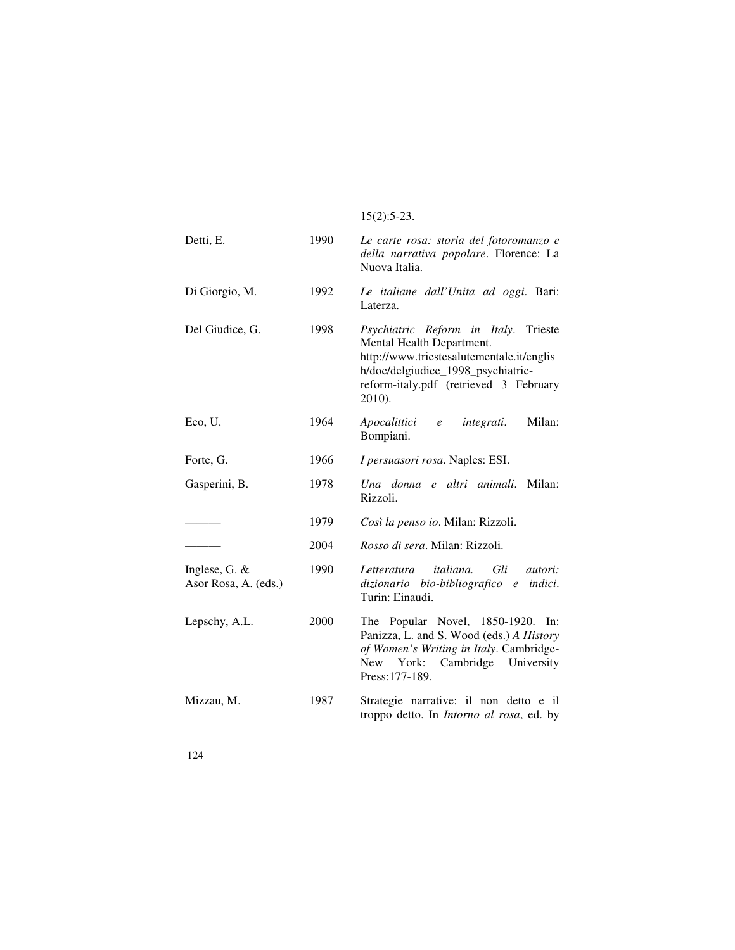15(2):5-23.

| Detti, E.                             | 1990 | Le carte rosa: storia del fotoromanzo e<br>della narrativa popolare. Florence: La<br>Nuova Italia.                                                                                                          |  |  |
|---------------------------------------|------|-------------------------------------------------------------------------------------------------------------------------------------------------------------------------------------------------------------|--|--|
| Di Giorgio, M.                        | 1992 | Le italiane dall'Unita ad oggi. Bari:<br>Laterza.                                                                                                                                                           |  |  |
| Del Giudice, G.                       | 1998 | Psychiatric Reform in Italy.<br>Trieste<br>Mental Health Department.<br>http://www.triestesalutementale.it/englis<br>h/doc/delgiudice_1998_psychiatric-<br>reform-italy.pdf (retrieved 3 February<br>2010). |  |  |
| Eco, U.                               | 1964 | Milan:<br>Apocalittici<br><i>integrati.</i><br>$\ell$<br>Bompiani.                                                                                                                                          |  |  |
| Forte, G.                             | 1966 | I persuasori rosa. Naples: ESI.                                                                                                                                                                             |  |  |
| Gasperini, B.                         | 1978 | Milan:<br>Una donna e altri animali.<br>Rizzoli.                                                                                                                                                            |  |  |
|                                       | 1979 | Così la penso io. Milan: Rizzoli.                                                                                                                                                                           |  |  |
|                                       | 2004 | Rosso di sera. Milan: Rizzoli.                                                                                                                                                                              |  |  |
| Inglese, G. &<br>Asor Rosa, A. (eds.) | 1990 | <i>italiana.</i><br>Gli<br>Letteratura<br><i>autori:</i><br>dizionario bio-bibliografico<br><i>indici.</i><br>$\epsilon$<br>Turin: Einaudi.                                                                 |  |  |
| Lepschy, A.L.                         | 2000 | The Popular Novel, 1850-1920. In:<br>Panizza, L. and S. Wood (eds.) A History<br>of Women's Writing in Italy. Cambridge-<br>Cambridge University<br><b>New</b><br>York:<br>Press: 177-189.                  |  |  |
| Mizzau, M.                            | 1987 | Strategie narrative: il non detto e il<br>troppo detto. In Intorno al rosa, ed. by                                                                                                                          |  |  |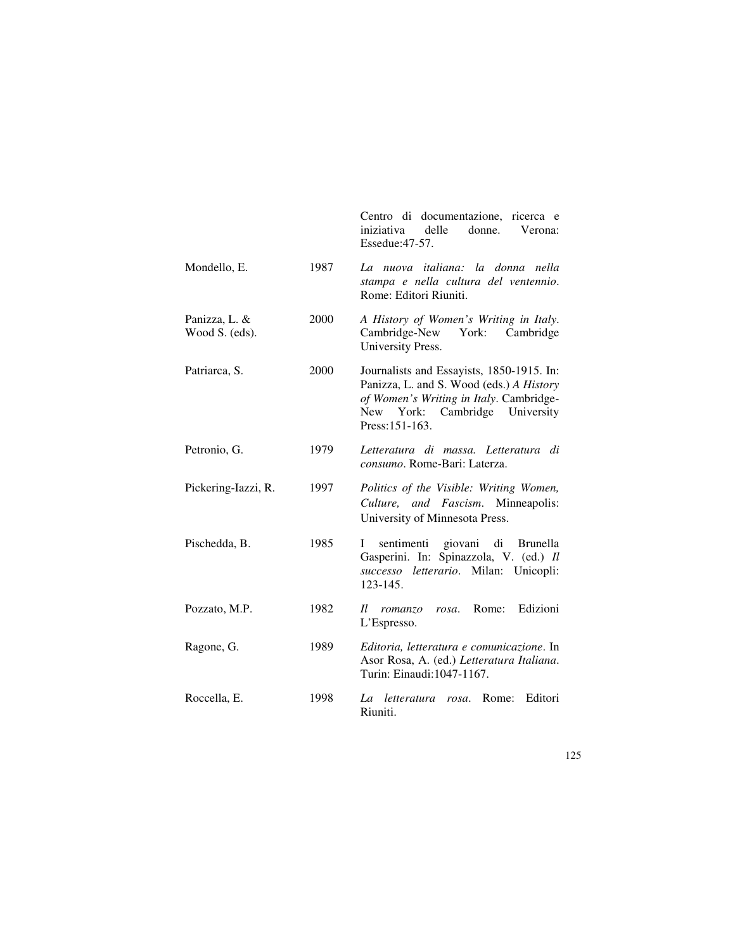|                                 |      | Essedue: 47-57.                                                                                                                                                                       |
|---------------------------------|------|---------------------------------------------------------------------------------------------------------------------------------------------------------------------------------------|
| Mondello, E.                    | 1987 | La nuova italiana: la donna nella<br>stampa e nella cultura del ventennio.<br>Rome: Editori Riuniti.                                                                                  |
| Panizza, L. &<br>Wood S. (eds). | 2000 | A History of Women's Writing in Italy.<br>Cambridge-New York:<br>Cambridge<br>University Press.                                                                                       |
| Patriarca, S.                   | 2000 | Journalists and Essayists, 1850-1915. In:<br>Panizza, L. and S. Wood (eds.) A History<br>of Women's Writing in Italy. Cambridge-<br>New York: Cambridge University<br>Press: 151-163. |
| Petronio, G.                    | 1979 | Letteratura di massa. Letteratura di<br>consumo. Rome-Bari: Laterza.                                                                                                                  |
| Pickering-Iazzi, R.             | 1997 | Politics of the Visible: Writing Women,<br>Culture, and Fascism. Minneapolis:<br>University of Minnesota Press.                                                                       |
| Pischedda, B.                   | 1985 | giovani di<br>sentimenti<br><b>Brunella</b><br>L<br>Gasperini. In: Spinazzola, V. (ed.) Il<br>successo letterario. Milan: Unicopli:<br>123-145.                                       |
| Pozzato, M.P.                   | 1982 | Rome:<br>Edizioni<br>Il<br>$rosa$ .<br>romanzo<br>L'Espresso.                                                                                                                         |
| Ragone, G.                      | 1989 | Editoria, letteratura e comunicazione. In<br>Asor Rosa, A. (ed.) Letteratura Italiana.<br>Turin: Einaudi:1047-1167.                                                                   |
| Roccella, E.                    | 1998 | rosa. Rome:<br>Editori<br>La -<br>letteratura<br>Riuniti.                                                                                                                             |

Centro di documentazione, ricerca e iniziativa delle donne. Verona: